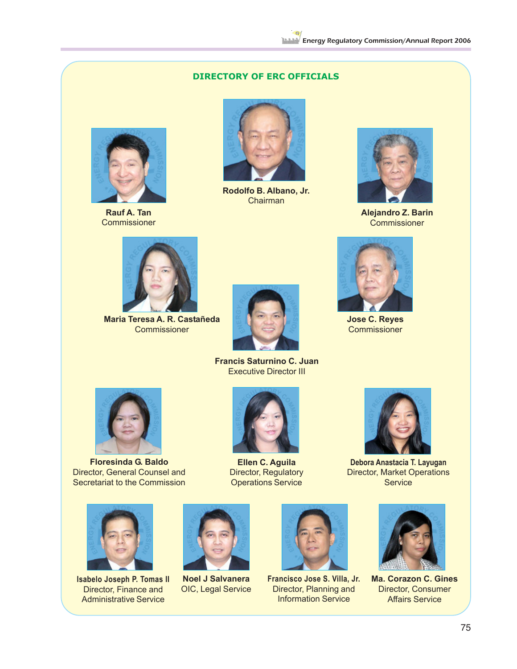## **DIRECTORY OF ERC OFFICIALS**



**Rauf A. Tan Commissioner** 



**Rodolfo B. Albano, Jr.** Chairman



**Alejandro Z. Barin Commissioner** 



**Maria Teresa A. R. Castañeda Commissioner** 



**Francis Saturnino C. Juan** Executive Director III



**Floresinda G. Baldo** Director, General Counsel and Secretariat to the Commission



**Isabelo Joseph P. Tomas II** Director, Finance and Administrative Service



**Ellen C. Aguila** Director, Regulatory Operations Service

**Noel J Salvanera** OIC, Legal Service





**Jose C. Reyes Commissioner** 

**Debora Anastacia T. Layugan** Director, Market Operations **Service** 



**Francisco Jose S. Villa, Jr.** Director, Planning and Information Service



**Ma. Corazon C. Gines** Director, Consumer Affairs Service